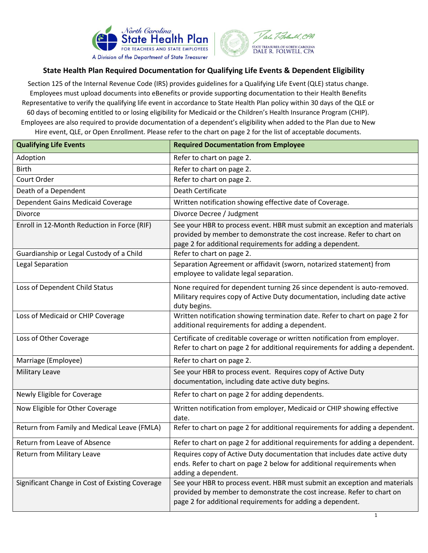

## **State Health Plan Required Documentation for Qualifying Life Events & Dependent Eligibility**

Section 125 of the Internal Revenue Code (IRS) provides guidelines for a Qualifying Life Event (QLE) status change. Employees must upload documents into eBenefits or provide supporting documentation to their Health Benefits Representative to verify the qualifying life event in accordance to State Health Plan policy within 30 days of the QLE or 60 days of becoming entitled to or losing eligibility for Medicaid or the Children's Health Insurance Program (CHIP). Employees are also required to provide documentation of a dependent's eligibility when added to the Plan due to New Hire event, QLE, or Open Enrollment. Please refer to the chart on page 2 for the list of acceptable documents.

| <b>Qualifying Life Events</b>                   | <b>Required Documentation from Employee</b>                                                                                                                                                                       |
|-------------------------------------------------|-------------------------------------------------------------------------------------------------------------------------------------------------------------------------------------------------------------------|
| Adoption                                        | Refer to chart on page 2.                                                                                                                                                                                         |
| <b>Birth</b>                                    | Refer to chart on page 2.                                                                                                                                                                                         |
| Court Order                                     | Refer to chart on page 2.                                                                                                                                                                                         |
| Death of a Dependent                            | Death Certificate                                                                                                                                                                                                 |
| Dependent Gains Medicaid Coverage               | Written notification showing effective date of Coverage.                                                                                                                                                          |
| <b>Divorce</b>                                  | Divorce Decree / Judgment                                                                                                                                                                                         |
| Enroll in 12-Month Reduction in Force (RIF)     | See your HBR to process event. HBR must submit an exception and materials<br>provided by member to demonstrate the cost increase. Refer to chart on<br>page 2 for additional requirements for adding a dependent. |
| Guardianship or Legal Custody of a Child        | Refer to chart on page 2.                                                                                                                                                                                         |
| Legal Separation                                | Separation Agreement or affidavit (sworn, notarized statement) from<br>employee to validate legal separation.                                                                                                     |
| Loss of Dependent Child Status                  | None required for dependent turning 26 since dependent is auto-removed.<br>Military requires copy of Active Duty documentation, including date active<br>duty begins.                                             |
| Loss of Medicaid or CHIP Coverage               | Written notification showing termination date. Refer to chart on page 2 for<br>additional requirements for adding a dependent.                                                                                    |
| Loss of Other Coverage                          | Certificate of creditable coverage or written notification from employer.<br>Refer to chart on page 2 for additional requirements for adding a dependent.                                                         |
| Marriage (Employee)                             | Refer to chart on page 2.                                                                                                                                                                                         |
| Military Leave                                  | See your HBR to process event. Requires copy of Active Duty<br>documentation, including date active duty begins.                                                                                                  |
| Newly Eligible for Coverage                     | Refer to chart on page 2 for adding dependents.                                                                                                                                                                   |
| Now Eligible for Other Coverage                 | Written notification from employer, Medicaid or CHIP showing effective<br>date.                                                                                                                                   |
| Return from Family and Medical Leave (FMLA)     | Refer to chart on page 2 for additional requirements for adding a dependent.                                                                                                                                      |
| Return from Leave of Absence                    | Refer to chart on page 2 for additional requirements for adding a dependent.                                                                                                                                      |
| Return from Military Leave                      | Requires copy of Active Duty documentation that includes date active duty<br>ends. Refer to chart on page 2 below for additional requirements when<br>adding a dependent.                                         |
| Significant Change in Cost of Existing Coverage | See your HBR to process event. HBR must submit an exception and materials<br>provided by member to demonstrate the cost increase. Refer to chart on<br>page 2 for additional requirements for adding a dependent. |